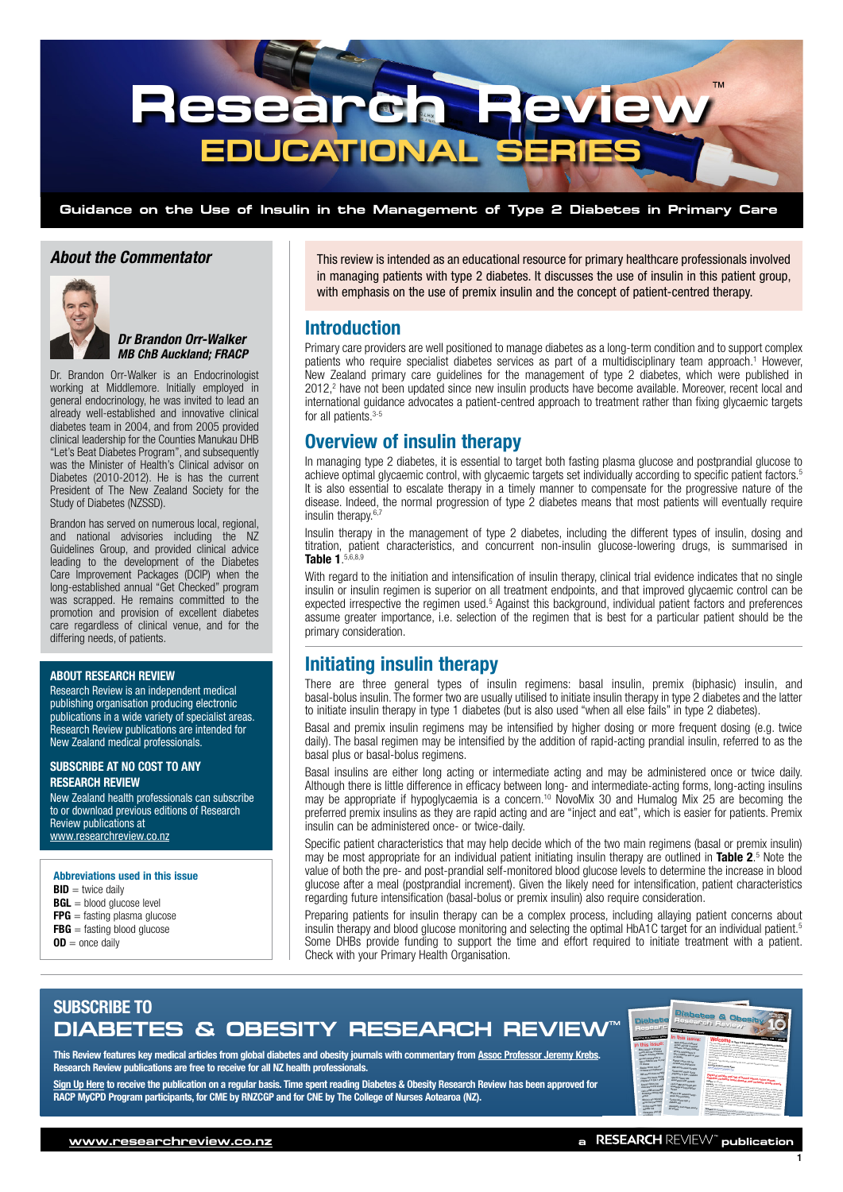

## *About the Commentator*



*Dr Brandon Orr-Walker MB ChB Auckland; FRACP*

Dr. Brandon Orr-Walker is an Endocrinologist working at Middlemore. Initially employed in general endocrinology, he was invited to lead an already well-established and innovative clinical diabetes team in 2004, and from 2005 provided clinical leadership for the Counties Manukau DHB "Let's Beat Diabetes Program", and subsequently was the Minister of Health's Clinical advisor on Diabetes (2010-2012). He is has the current President of The New Zealand Society for the Study of Diabetes (NZSSD).

Brandon has served on numerous local, regional, and national advisories including the NZ Guidelines Group, and provided clinical advice leading to the development of the Diabetes Care Improvement Packages (DCIP) when the long-established annual "Get Checked" program was scrapped. He remains committed to the promotion and provision of excellent diabetes care regardless of clinical venue, and for the differing needs, of patients.

#### ABOUT RESEARCH REVIEW

Research Review is an independent medical publishing organisation producing electronic publications in a wide variety of specialist areas. Research Review publications are intended for New Zealand medical professionals.

#### SUBSCRIBE AT NO COST TO ANY RESEARCH REVIEW

New Zealand health professionals can subscribe to or download previous editions of Research Review publications at [www.researchreview.co.](http://www.researchreview.co.nz)nz

Abbreviations used in this issue  $BID =$  twice daily  $BGL =$  blood glucose level  $FPG =$  fasting plasma glucose  $FBG =$  fasting blood glucose

 $OD =$  once daily

This review is intended as an educational resource for primary healthcare professionals involved in managing patients with type 2 diabetes. It discusses the use of insulin in this patient group, with emphasis on the use of premix insulin and the concept of patient-centred therapy.

## Introduction

Primary care providers are well positioned to manage diabetes as a long-term condition and to support complex patients who require specialist diabetes services as part of a multidisciplinary team approach.<sup>1</sup> However, New Zealand primary care guidelines for the management of type 2 diabetes, which were published in 2012,<sup>2</sup> have not been updated since new insulin products have become available. Moreover, recent local and international guidance advocates a patient-centred approach to treatment rather than fixing glycaemic targets for all patients.<sup>3-5</sup>

## Overview of insulin therapy

In managing type 2 diabetes, it is essential to target both fasting plasma glucose and postprandial glucose to achieve optimal glycaemic control, with glycaemic targets set individually according to specific patient factors.5 It is also essential to escalate therapy in a timely manner to compensate for the progressive nature of the disease. Indeed, the normal progression of type 2 diabetes means that most patients will eventually require insulin therapy.<sup>6,7</sup>

Insulin therapy in the management of type 2 diabetes, including the different types of insulin, dosing and titration, patient characteristics, and concurrent non-insulin glucose-lowering drugs, is summarised in Table 1. 5,6,8,9

With regard to the initiation and intensification of insulin therapy, clinical trial evidence indicates that no single insulin or insulin regimen is superior on all treatment endpoints, and that improved glycaemic control can be expected irrespective the regimen used.<sup>5</sup> Against this background, individual patient factors and preferences assume greater importance, i.e. selection of the regimen that is best for a particular patient should be the primary consideration.

## Initiating insulin therapy

There are three general types of insulin regimens: basal insulin, premix (biphasic) insulin, and basal-bolus insulin. The former two are usually utilised to initiate insulin therapy in type 2 diabetes and the latter to initiate insulin therapy in type 1 diabetes (but is also used "when all else fails" in type 2 diabetes).

Basal and premix insulin regimens may be intensified by higher dosing or more frequent dosing (e.g. twice daily). The basal regimen may be intensified by the addition of rapid-acting prandial insulin, referred to as the basal plus or basal-bolus regimens.

Basal insulins are either long acting or intermediate acting and may be administered once or twice daily. Although there is little difference in efficacy between long- and intermediate-acting forms, long-acting insulins may be appropriate if hypoglycaemia is a concern.<sup>10</sup> NovoMix 30 and Humalog Mix 25 are becoming the preferred premix insulins as they are rapid acting and are "inject and eat", which is easier for patients. Premix insulin can be administered once- or twice-daily.

Specific patient characteristics that may help decide which of the two main regimens (basal or premix insulin) may be most appropriate for an individual patient initiating insulin therapy are outlined in Table 2.<sup>5</sup> Note the value of both the pre- and post-prandial self-monitored blood glucose levels to determine the increase in blood glucose after a meal (postprandial increment). Given the likely need for intensification, patient characteristics regarding future intensification (basal-bolus or premix insulin) also require consideration.

Preparing patients for insulin therapy can be a complex process, including allaying patient concerns about insulin therapy and blood glucose monitoring and selecting the optimal HbA1C target for an individual patient.5 Some DHBs provide funding to support the time and effort required to initiate treatment with a patient. Check with your Primary Health Organisation.

# SUBSCRIBE TO **DIABETES & OBESITY RESEARCH REVIEW<sup>®</sup>**

This Review features key medical articles from global diabetes and obesity journals with commentary from [Assoc Professor Jeremy Krebs.](http://www.researchreview.co.nz/nz/Writers.aspx?area=13642) Research Review publications are free to receive for all NZ health professionals.

[Sign Up Here](http://www.researchreview.co.nz/Common/User-Pages/Register.aspx?Site=nz) to receive the publication on a regular basis. Time spent reading Diabetes & Obesity Research Review has been approved for RACP MyCPD Program participants, for CME by RNZCGP and for CNE by The College of Nurses Aotearoa (NZ).

| In this issue:<br>Making Edwardian Edity<br>Welcome a sure new patron and direct Reserve Avenue<br><b>Distances</b><br><b>Milaneshan of physics</b><br>The senate begins with a forget mode analysis appears to provide and contact the following photos of an long<br>In this issue:<br>ally and car is some of<br>and the calculations of means the best of debates, and the country and the profit of the profit of the state of<br>distant, including distribut<br>and called at any spiritual any and workers are the confusion, in particular functions, Al Humanitary<br>MyP-analysis of physical<br>The special and delivery in terminally present age at 7 per section approximate that we have been been<br>achiefy and first of phones<br><b>B" and integriting card to</b><br>dated primary "young blood of the presence" pro growing that the party considered put you<br>AMANIC FOURING DIRECTOR<br>blu z dagetel mit on anar<br>and the party and military for a control and that is the primary particularly fields in the authority particle<br>CY <sub>CRANE</sub><br>an and complication! in<br>Hendely you have the papers futures for the hour, and just from the bookers and company.<br>Tell 2 display with to prior<br><b>POARY CASCA' JER 747</b><br><b>Pursed 22y Popticing</b><br>IT GOOD<br>description of the local division in which the con-<br><b>SHARIN' CANADA BOX PART</b><br><b>INFANCIATIONAL PRODUCT</b><br><b>COMMAND AND VIOLATION</b><br>inditions by populations<br><b>Clinty-boy could during</b><br>and and an exame minister.<br>programy in type 1 distances<br>Physical activity and risk of breast cancer, color cancer,<br>Closed-book paulin during<br><b>Zamuski Autory Fuer</b><br>anaplancy in Ope 1 plane<br>acquisiting with available. | Diabete<br><b>Researc</b>                           | <b>Meking Education Education</b>                                   | <b>Diabetes &amp; Obesity</b><br>Research Review                                                                                                                                                                                                                                      |
|------------------------------------------------------------------------------------------------------------------------------------------------------------------------------------------------------------------------------------------------------------------------------------------------------------------------------------------------------------------------------------------------------------------------------------------------------------------------------------------------------------------------------------------------------------------------------------------------------------------------------------------------------------------------------------------------------------------------------------------------------------------------------------------------------------------------------------------------------------------------------------------------------------------------------------------------------------------------------------------------------------------------------------------------------------------------------------------------------------------------------------------------------------------------------------------------------------------------------------------------------------------------------------------------------------------------------------------------------------------------------------------------------------------------------------------------------------------------------------------------------------------------------------------------------------------------------------------------------------------------------------------------------------------------------------------------------------------------------------------------------------------------------------------------|-----------------------------------------------------|---------------------------------------------------------------------|---------------------------------------------------------------------------------------------------------------------------------------------------------------------------------------------------------------------------------------------------------------------------------------|
| data on anti-subset garantee and physical argular any tier ring of the countries physical policy physical<br><b>Misson</b><br>Lack of little and resided<br>Which was uponly and antiquiated with bones under the all militaries. As for Passion's party by any figure<br>Anguilable acomp and<br>Maybe's by Highled Analys-<br>with and up lower of 10000-1000 GBT Procedure assistance entropy on their Chappens and one assistant<br>appeals are the state and plants of the USI (W), would him and the state in the continuous (10f plants) (W) (W)<br><b>Case Rul prisoner</b><br><b>HOCHES</b><br>Bitt mind as an wask. And as only washing & \$1.500 and \$1.500. F \$2.500. To \$2.500 and \$1.500 and \$1.500.<br>Minight by Advoced<br>Onling onlines below<br>Compared with "substitute when the set many the filled commissionly actually level of - ADS-MFT counterparts<br>dwigh float pill thanks<br><b>SAMALOR</b><br>and the state and anti-party for the contract party and a self-hand a deposited from the contract contract of<br>Orzini reducel bpe:<br>DOMESTIC DOG PART SOME<br>date for clar<br><b>AT Actual</b><br><b>Creased</b> in all car be prove addy a prefer a select year's car elements <sub>contr</sub> ibuted and the<br><b>Documents</b> foot out<br>$-$                                                                                                                                                                                                                                                                                                                                                                                                                                                                                                 | Specific distant heat<br><b>ANAGEMENT FOR FIGHT</b> | <b>Lice of Red and weight paid</b><br><b>Monitor and oppositent</b> | disbeter, itchemic heart disease, and is themic streke eyests<br><b>Recovery</b> this this way to answer and down recovery mode theories access to which are elected to provide the<br>with only papers on lange called color sense behaving band downs and brigance trader reporting |

an endocrinologist with a particular interest in obesity and diabetes. He is an Associate Professor with the University of Otago, and former Director of the Clinical Research Diploma at Victoria University - which he established. As well as

Independent commentary by Associate Professor Jeremy Krebs, an endocrinologist with a particular interest in obesity and diabetes. He is an Associate

1

#### a RESEARCH REVIEW" publication Independent commentary by Associate Professor Jeremy Krebs, of running. In this study, at that level people had a 2% lower risk of diabetes than those who were sedentary. can claim one credit per hour (maximum of 50 credits per year)

participants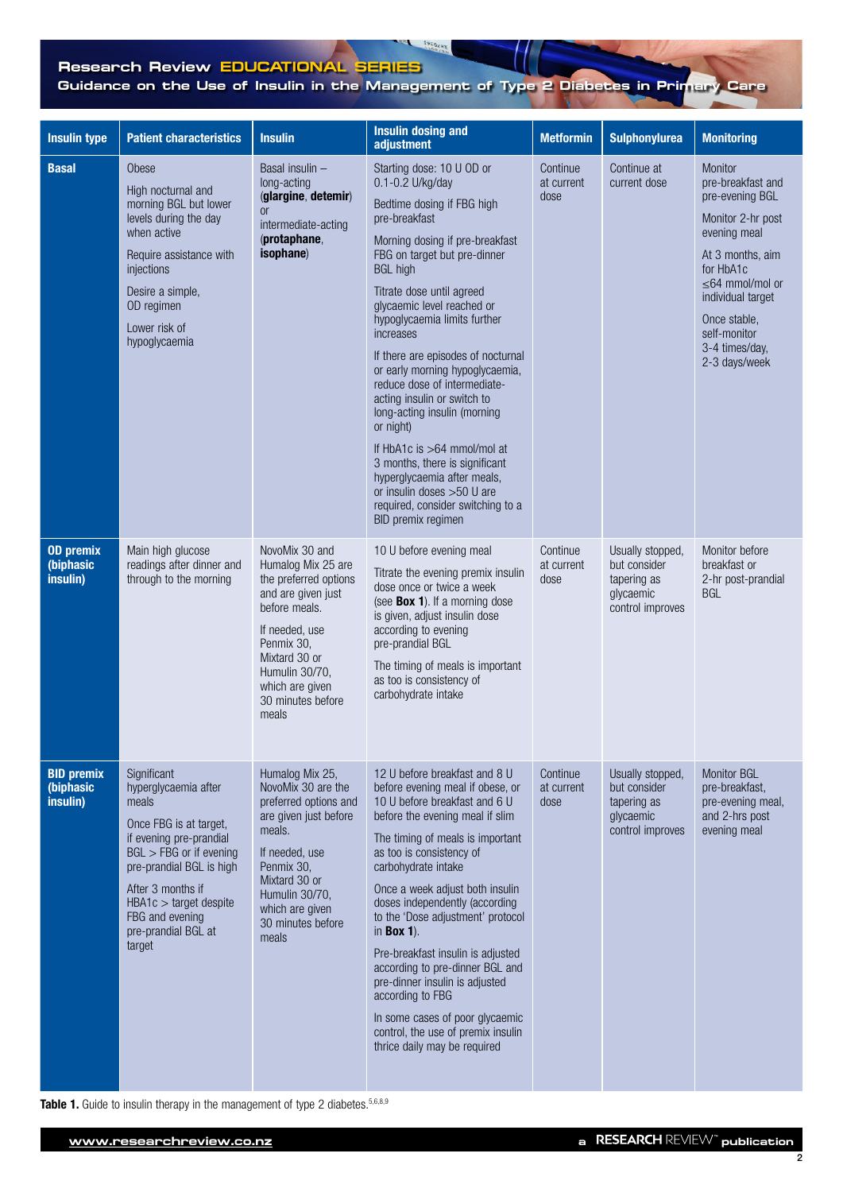# **Research Review EDUCATIONAL SERIES Guidance on the Use of Insulin in the Management of Type 2 Diabetes in Primary Care**

SPEOLHX

| <b>Insulin type</b>                               | <b>Patient characteristics</b>                                                                                                                                                                                                                                  | <b>Insulin</b>                                                                                                                                                                                                           | <b>Insulin dosing and</b><br>adjustment                                                                                                                                                                                                                                                                                                                                                                                                                                                                                                                                                                                                                                  | <b>Metformin</b>               | <b>Sulphonylurea</b>                                                             | <b>Monitoring</b>                                                                                                                                                                                                                      |
|---------------------------------------------------|-----------------------------------------------------------------------------------------------------------------------------------------------------------------------------------------------------------------------------------------------------------------|--------------------------------------------------------------------------------------------------------------------------------------------------------------------------------------------------------------------------|--------------------------------------------------------------------------------------------------------------------------------------------------------------------------------------------------------------------------------------------------------------------------------------------------------------------------------------------------------------------------------------------------------------------------------------------------------------------------------------------------------------------------------------------------------------------------------------------------------------------------------------------------------------------------|--------------------------------|----------------------------------------------------------------------------------|----------------------------------------------------------------------------------------------------------------------------------------------------------------------------------------------------------------------------------------|
| <b>Basal</b>                                      | Obese<br>High nocturnal and<br>morning BGL but lower<br>levels during the day<br>when active<br>Require assistance with<br>injections<br>Desire a simple,<br>OD regimen<br>Lower risk of<br>hypoglycaemia                                                       | Basal insulin -<br>long-acting<br>(glargine, detemir)<br><b>or</b><br>intermediate-acting<br>(protaphane,<br>isophane)                                                                                                   | Starting dose: 10 U OD or<br>0.1-0.2 U/kg/day<br>Bedtime dosing if FBG high<br>pre-breakfast<br>Morning dosing if pre-breakfast<br>FBG on target but pre-dinner<br><b>BGL high</b><br>Titrate dose until agreed<br>glycaemic level reached or<br>hypoglycaemia limits further<br>increases<br>If there are episodes of nocturnal<br>or early morning hypoglycaemia,<br>reduce dose of intermediate-<br>acting insulin or switch to<br>long-acting insulin (morning<br>or night)<br>If HbA1c is >64 mmol/mol at<br>3 months, there is significant<br>hyperglycaemia after meals,<br>or insulin doses >50 U are<br>required, consider switching to a<br>BID premix regimen | Continue<br>at current<br>dose | Continue at<br>current dose                                                      | Monitor<br>pre-breakfast and<br>pre-evening BGL<br>Monitor 2-hr post<br>evening meal<br>At 3 months, aim<br>for HbA1c<br>$\leq 64$ mmol/mol or<br>individual target<br>Once stable,<br>self-monitor<br>3-4 times/day,<br>2-3 days/week |
| <b>OD</b> premix<br>(biphasic<br>insulin)         | Main high glucose<br>readings after dinner and<br>through to the morning                                                                                                                                                                                        | NovoMix 30 and<br>Humalog Mix 25 are<br>the preferred options<br>and are given just<br>before meals.<br>If needed, use<br>Penmix 30,<br>Mixtard 30 or<br>Humulin 30/70,<br>which are given<br>30 minutes before<br>meals | 10 U before evening meal<br>Titrate the evening premix insulin<br>dose once or twice a week<br>(see <b>Box 1</b> ). If a morning dose<br>is given, adjust insulin dose<br>according to evening<br>pre-prandial BGL<br>The timing of meals is important<br>as too is consistency of<br>carbohydrate intake                                                                                                                                                                                                                                                                                                                                                                | Continue<br>at current<br>dose | Usually stopped,<br>but consider<br>tapering as<br>glycaemic<br>control improves | Monitor before<br>breakfast or<br>2-hr post-prandial<br><b>BGL</b>                                                                                                                                                                     |
| <b>BID premix</b><br><b>(biphasic</b><br>insulin) | Significant<br>hyperglycaemia after<br>meals<br>Once FBG is at target,<br>if evening pre-prandial<br>$BGL > FBG$ or if evening<br>pre-prandial BGL is high<br>After 3 months if<br>$HBA1c > target$ despite<br>FBG and evening<br>pre-prandial BGL at<br>target | Humalog Mix 25,<br>NovoMix 30 are the<br>preferred options and<br>are given just before<br>meals.<br>If needed, use<br>Penmix 30,<br>Mixtard 30 or<br>Humulin 30/70,<br>which are given<br>30 minutes before<br>meals    | 12 U before breakfast and 8 U<br>before evening meal if obese, or<br>10 U before breakfast and 6 U<br>before the evening meal if slim<br>The timing of meals is important<br>as too is consistency of<br>carbohydrate intake<br>Once a week adjust both insulin<br>doses independently (according<br>to the 'Dose adjustment' protocol<br>in Box $1$ ).<br>Pre-breakfast insulin is adjusted<br>according to pre-dinner BGL and<br>pre-dinner insulin is adjusted<br>according to FBG<br>In some cases of poor glycaemic<br>control, the use of premix insulin<br>thrice daily may be required                                                                           | Continue<br>at current<br>dose | Usually stopped,<br>but consider<br>tapering as<br>glycaemic<br>control improves | Monitor BGL<br>pre-breakfast,<br>pre-evening meal,<br>and 2-hrs post<br>evening meal                                                                                                                                                   |

Table 1. Guide to insulin therapy in the management of type 2 diabetes. 5,6,8,9

2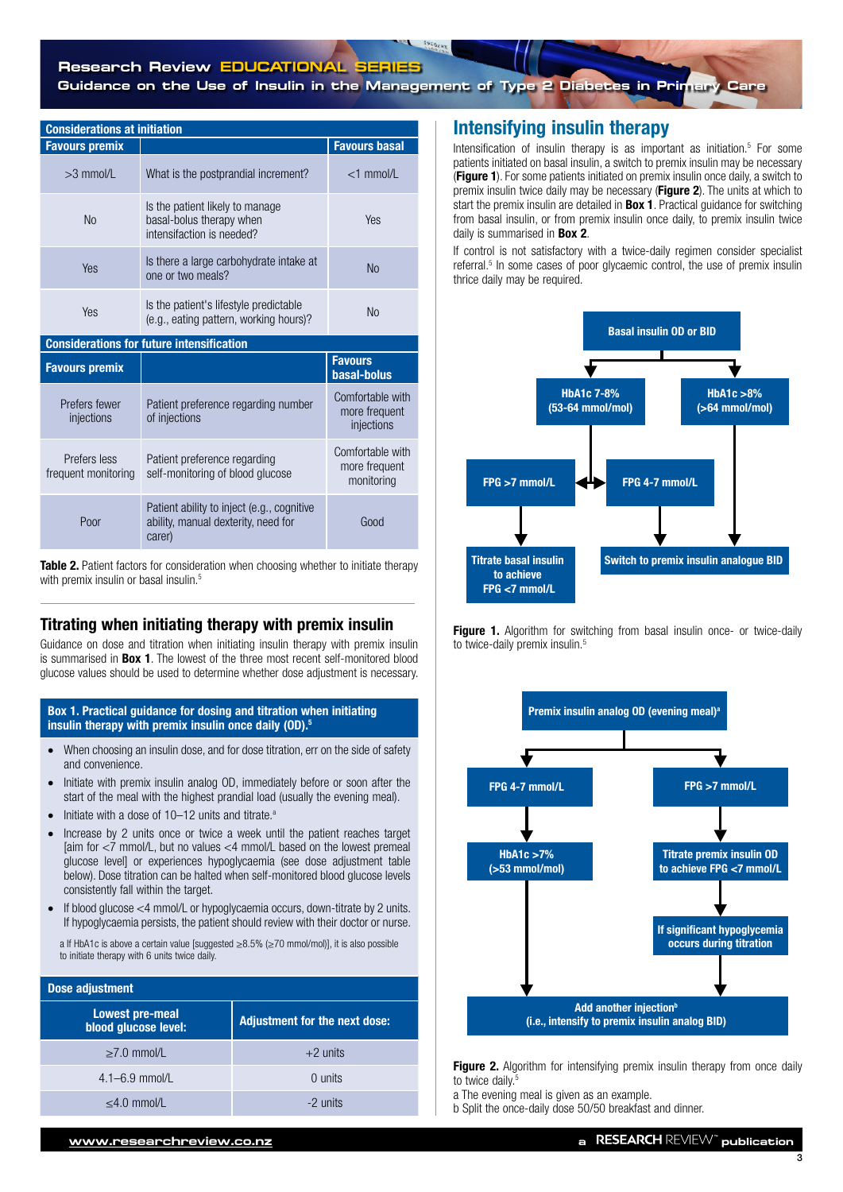| <b>Considerations at initiation</b> |                                                                                          |                                                 |  |  |  |
|-------------------------------------|------------------------------------------------------------------------------------------|-------------------------------------------------|--|--|--|
| <b>Favours premix</b>               |                                                                                          | <b>Favours basal</b>                            |  |  |  |
| $>3$ mmol/L                         | What is the postprandial increment?                                                      | $<$ 1 mmol/L                                    |  |  |  |
| N <sub>o</sub>                      | Is the patient likely to manage<br>basal-bolus therapy when<br>intensifaction is needed? | Yes                                             |  |  |  |
| Yes                                 | Is there a large carbohydrate intake at<br>one or two meals?                             | <b>No</b>                                       |  |  |  |
| Yes                                 | Is the patient's lifestyle predictable<br>(e.g., eating pattern, working hours)?         | <b>No</b>                                       |  |  |  |
|                                     | <b>Considerations for future intensification</b>                                         |                                                 |  |  |  |
| <b>Favours premix</b>               |                                                                                          | <b>Favours</b><br>basal-bolus                   |  |  |  |
| Prefers fewer<br>injections         | Patient preference regarding number<br>of injections                                     | Comfortable with<br>more frequent<br>injections |  |  |  |
|                                     |                                                                                          | Comfortable with                                |  |  |  |

| Prefers less        | Patient preference regarding                                                                | more frequent |
|---------------------|---------------------------------------------------------------------------------------------|---------------|
| frequent monitoring | self-monitoring of blood glucose                                                            | monitoring    |
| Poor                | Patient ability to inject (e.g., cognitive<br>ability, manual dexterity, need for<br>carer) | Good          |

Table 2. Patient factors for consideration when choosing whether to initiate therapy with premix insulin or basal insulin.<sup>5</sup>

## Titrating when initiating therapy with premix insulin

Guidance on dose and titration when initiating insulin therapy with premix insulin is summarised in Box 1. The lowest of the three most recent self-monitored blood glucose values should be used to determine whether dose adjustment is necessary.

### Box 1. Practical guidance for dosing and titration when initiating insulin therapy with premix insulin once daily (OD).<sup>5</sup>

- When choosing an insulin dose, and for dose titration, err on the side of safety and convenience.
- Initiate with premix insulin analog OD, immediately before or soon after the start of the meal with the highest prandial load (usually the evening meal).
- Initiate with a dose of  $10-12$  units and titrate.<sup>a</sup>
- Increase by 2 units once or twice a week until the patient reaches target  $\frac{1}{2}$  faim for  $\lt$ 7 mmol/L, but no values  $\lt$ 4 mmol/L based on the lowest premeal glucose level] or experiences hypoglycaemia (see dose adjustment table below). Dose titration can be halted when self-monitored blood glucose levels consistently fall within the target.
- If blood glucose  $<$  4 mmol/L or hypoglycaemia occurs, down-titrate by 2 units. If hypoglycaemia persists, the patient should review with their doctor or nurse.

a If HbA1c is above a certain value [suggested ≥8.5% (≥70 mmol/mol)], it is also possible to initiate therapy with 6 units twice daily.

| Dose adjustment                                |                                      |
|------------------------------------------------|--------------------------------------|
| <b>Lowest pre-meal</b><br>blood glucose level: | <b>Adjustment for the next dose:</b> |
| $>7.0$ mmol/L                                  | $+2$ units                           |
| $4.1 - 6.9$ mmol/L                             | $0$ units                            |
| $<$ 4.0 mmol/L                                 | $-2$ units                           |

# Intensifying insulin therapy

Intensification of insulin therapy is as important as initiation.<sup>5</sup> For some patients initiated on basal insulin, a switch to premix insulin may be necessary (Figure 1). For some patients initiated on premix insulin once daily, a switch to premix insulin twice daily may be necessary (Figure 2). The units at which to start the premix insulin are detailed in **Box 1**. Practical guidance for switching from basal insulin, or from premix insulin once daily, to premix insulin twice daily is summarised in **Box 2**.

If control is not satisfactory with a twice-daily regimen consider specialist referral.<sup>5</sup> In some cases of poor glycaemic control, the use of premix insulin thrice daily may be required.



Figure 1. Algorithm for switching from basal insulin once- or twice-daily to twice-daily premix insulin.<sup>5</sup>



Figure 2. Algorithm for intensifying premix insulin therapy from once daily to twice daily.<sup>5</sup>

a The evening meal is given as an example.

b Split the once-daily dose 50/50 breakfast and dinner.

3